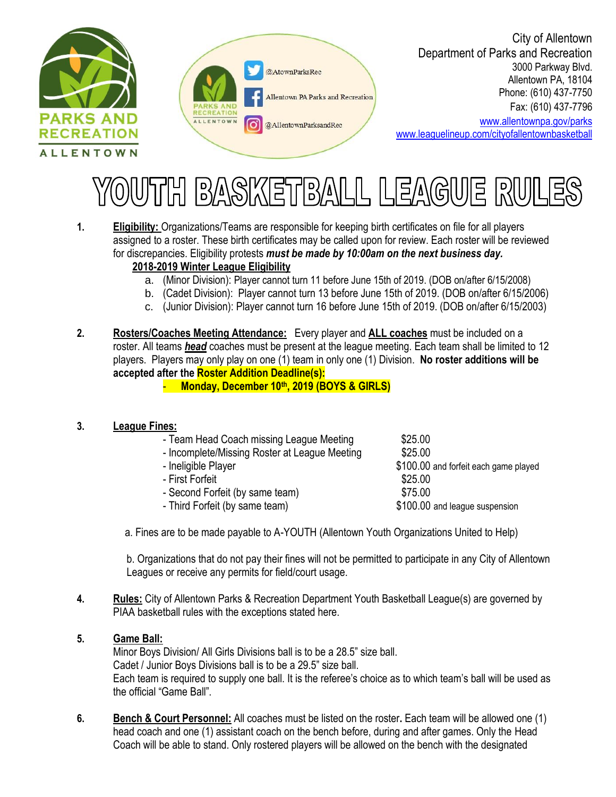



City of Allentown Department of Parks and Recreation 3000 Parkway Blvd. Allentown PA, 18104 Phone: (610) 437-7750 Fax: (610) 437-7796

[www.allentownpa.gov/parks](http://www.allentownpa.gov/parks) [www.leaguelineup.com/cityofallentownbasketball](http://www.leaguelineup.com/cityofallentownbasketball)



- **1. Eligibility:** Organizations/Teams are responsible for keeping birth certificates on file for all players assigned to a roster. These birth certificates may be called upon for review. Each roster will be reviewed for discrepancies. Eligibility protests *must be made by 10:00am on the next business day.* **2018-2019 Winter League Eligibility**
	- a. (Minor Division): Player cannot turn 11 before June 15th of 2019. (DOB on/after 6/15/2008)
	- b. (Cadet Division): Player cannot turn 13 before June 15th of 2019. (DOB on/after 6/15/2006)
	- c. (Junior Division): Player cannot turn 16 before June 15th of 2019. (DOB on/after 6/15/2003)
- **2. Rosters/Coaches Meeting Attendance:** Every player and **ALL coaches** must be included on a roster. All teams *head* coaches must be present at the league meeting. Each team shall be limited to 12 players. Players may only play on one (1) team in only one (1) Division. **No roster additions will be accepted after the Roster Addition Deadline(s):**

- **Monday, December 10th , 2019 (BOYS & GIRLS)**

#### **3. League Fines:**

- Team Head Coach missing League Meeting \$25.00
- Incomplete/Missing Roster at League Meeting  $$25.00$
- 
- First Forfeit  $$25.00$
- Second Forfeit (by same team)  $$75.00$
- Third Forfeit (by same team)  $$100.00$  and league suspension
- Ineligible Player **business**  $$100.00$  and forfeit each game played

a. Fines are to be made payable to A-YOUTH (Allentown Youth Organizations United to Help)

b. Organizations that do not pay their fines will not be permitted to participate in any City of Allentown Leagues or receive any permits for field/court usage.

**4. Rules:** City of Allentown Parks & Recreation Department Youth Basketball League(s) are governed by PIAA basketball rules with the exceptions stated here.

### **5. Game Ball:**

Minor Boys Division/ All Girls Divisions ball is to be a 28.5" size ball. Cadet / Junior Boys Divisions ball is to be a 29.5" size ball. Each team is required to supply one ball. It is the referee's choice as to which team's ball will be used as the official "Game Ball".

**6. Bench & Court Personnel:** All coaches must be listed on the roster**.** Each team will be allowed one (1) head coach and one (1) assistant coach on the bench before, during and after games. Only the Head Coach will be able to stand. Only rostered players will be allowed on the bench with the designated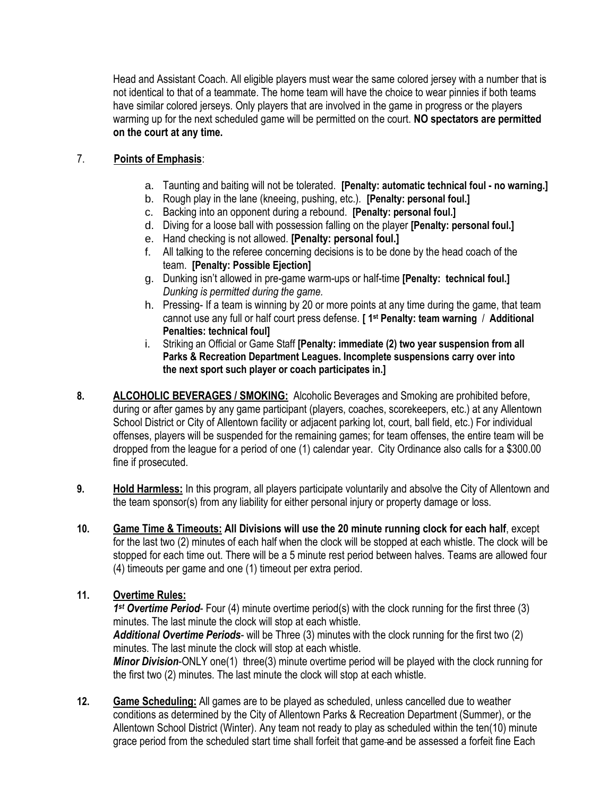Head and Assistant Coach. All eligible players must wear the same colored jersey with a number that is not identical to that of a teammate. The home team will have the choice to wear pinnies if both teams have similar colored jerseys. Only players that are involved in the game in progress or the players warming up for the next scheduled game will be permitted on the court. **NO spectators are permitted on the court at any time.**

## 7. **Points of Emphasis**:

- a. Taunting and baiting will not be tolerated. **[Penalty: automatic technical foul - no warning.]**
- b. Rough play in the lane (kneeing, pushing, etc.). **[Penalty: personal foul.]**
- c. Backing into an opponent during a rebound. **[Penalty: personal foul.]**
- d. Diving for a loose ball with possession falling on the player **[Penalty: personal foul.]**
- e. Hand checking is not allowed. **[Penalty: personal foul.]**
- f. All talking to the referee concerning decisions is to be done by the head coach of the team. **[Penalty: Possible Ejection]**
- g. Dunking isn't allowed in pre-game warm-ups or half-time **[Penalty: technical foul.]**  *Dunking is permitted during the game.*
- h. Pressing- If a team is winning by 20 or more points at any time during the game, that team cannot use any full or half court press defense. **[ 1st Penalty: team warning** / **Additional Penalties: technical foul]**
- i. Striking an Official or Game Staff **[Penalty: immediate (2) two year suspension from all Parks & Recreation Department Leagues. Incomplete suspensions carry over into the next sport such player or coach participates in.]**
- **8. ALCOHOLIC BEVERAGES / SMOKING:** Alcoholic Beverages and Smoking are prohibited before, during or after games by any game participant (players, coaches, scorekeepers, etc.) at any Allentown School District or City of Allentown facility or adjacent parking lot, court, ball field, etc.) For individual offenses, players will be suspended for the remaining games; for team offenses, the entire team will be dropped from the league for a period of one (1) calendar year. City Ordinance also calls for a \$300.00 fine if prosecuted.
- **9. Hold Harmless:** In this program, all players participate voluntarily and absolve the City of Allentown and the team sponsor(s) from any liability for either personal injury or property damage or loss.
- **10. Game Time & Timeouts: All Divisions will use the 20 minute running clock for each half**, except for the last two (2) minutes of each half when the clock will be stopped at each whistle. The clock will be stopped for each time out. There will be a 5 minute rest period between halves. Teams are allowed four (4) timeouts per game and one (1) timeout per extra period.

## **11. Overtime Rules:**

*1 st Overtime Period*- Four (4) minute overtime period(s) with the clock running for the first three (3) minutes. The last minute the clock will stop at each whistle.

*Additional Overtime Periods*- will be Three (3) minutes with the clock running for the first two (2) minutes. The last minute the clock will stop at each whistle.

*Minor Division-ONLY* one(1) three(3) minute overtime period will be played with the clock running for the first two (2) minutes. The last minute the clock will stop at each whistle.

**12. Game Scheduling:** All games are to be played as scheduled, unless cancelled due to weather conditions as determined by the City of Allentown Parks & Recreation Department (Summer), or the Allentown School District (Winter). Any team not ready to play as scheduled within the ten(10) minute grace period from the scheduled start time shall forfeit that game-and be assessed a forfeit fine Each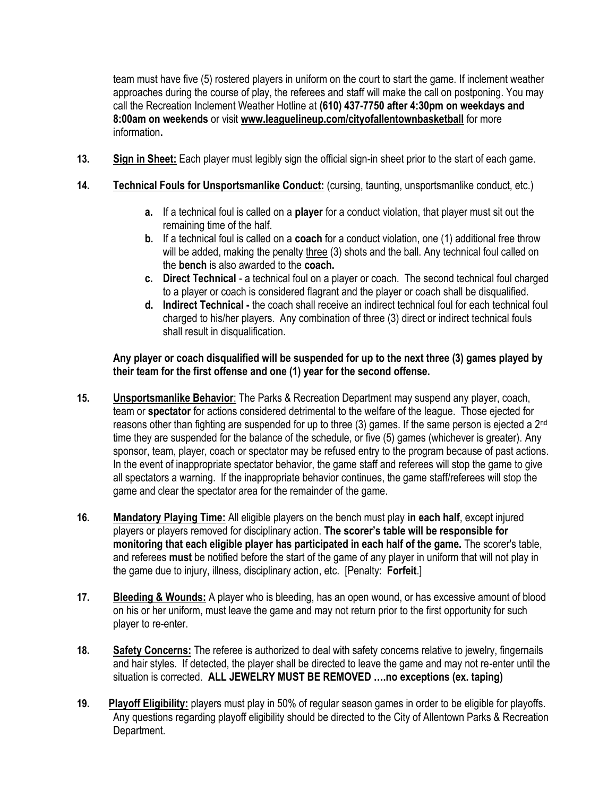team must have five (5) rostered players in uniform on the court to start the game. If inclement weather approaches during the course of play, the referees and staff will make the call on postponing. You may call the Recreation Inclement Weather Hotline at **(610) 437-7750 after 4:30pm on weekdays and 8:00am on weekends** or visit **www.leaguelineup.com/cityofallentownbasketball** for more information**.** 

- **13. Sign in Sheet:** Each player must legibly sign the official sign-in sheet prior to the start of each game.
- **14. Technical Fouls for Unsportsmanlike Conduct:** (cursing, taunting, unsportsmanlike conduct, etc.)
	- **a.** If a technical foul is called on a **player** for a conduct violation, that player must sit out the remaining time of the half.
	- **b.** If a technical foul is called on a **coach** for a conduct violation, one (1) additional free throw will be added, making the penalty three (3) shots and the ball. Any technical foul called on the **bench** is also awarded to the **coach.**
	- **c. Direct Technical**  a technical foul on a player or coach. The second technical foul charged to a player or coach is considered flagrant and the player or coach shall be disqualified.
	- **d. Indirect Technical -** the coach shall receive an indirect technical foul for each technical foul charged to his/her players. Any combination of three (3) direct or indirect technical fouls shall result in disqualification.

### **Any player or coach disqualified will be suspended for up to the next three (3) games played by their team for the first offense and one (1) year for the second offense.**

- **15. Unsportsmanlike Behavior**: The Parks & Recreation Department may suspend any player, coach, team or **spectator** for actions considered detrimental to the welfare of the league. Those ejected for reasons other than fighting are suspended for up to three (3) games. If the same person is ejected a 2nd time they are suspended for the balance of the schedule, or five (5) games (whichever is greater). Any sponsor, team, player, coach or spectator may be refused entry to the program because of past actions. In the event of inappropriate spectator behavior, the game staff and referees will stop the game to give all spectators a warning. If the inappropriate behavior continues, the game staff/referees will stop the game and clear the spectator area for the remainder of the game.
- **16. Mandatory Playing Time:** All eligible players on the bench must play **in each half**, except injured players or players removed for disciplinary action. **The scorer's table will be responsible for monitoring that each eligible player has participated in each half of the game.** The scorer's table, and referees **must** be notified before the start of the game of any player in uniform that will not play in the game due to injury, illness, disciplinary action, etc. [Penalty: **Forfeit**.]
- **17. Bleeding & Wounds:** A player who is bleeding, has an open wound, or has excessive amount of blood on his or her uniform, must leave the game and may not return prior to the first opportunity for such player to re-enter.
- **18. Safety Concerns:** The referee is authorized to deal with safety concerns relative to jewelry, fingernails and hair styles. If detected, the player shall be directed to leave the game and may not re-enter until the situation is corrected. **ALL JEWELRY MUST BE REMOVED ….no exceptions (ex. taping)**
- **19. Playoff Eligibility:** players must play in 50% of regular season games in order to be eligible for playoffs. Any questions regarding playoff eligibility should be directed to the City of Allentown Parks & Recreation Department.